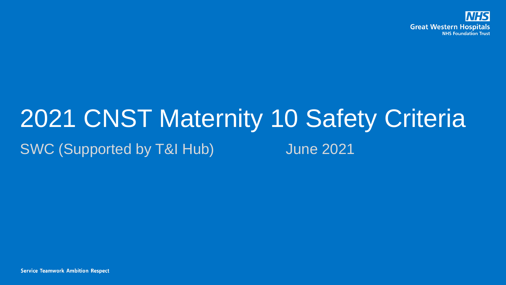

## 2021 CNST Maternity 10 Safety Criteria SWC (Supported by T&I Hub) June 2021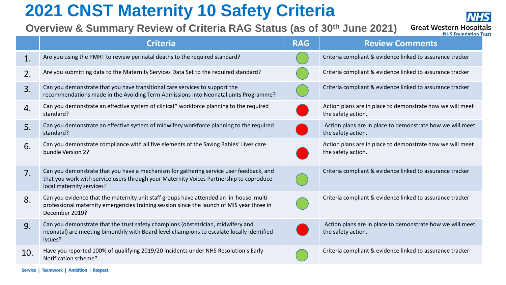## **2021 CNST Maternity 10 Safety Criteria**

**Overview & Summary Review of Criteria RAG Status (as of 30th June 2021)** 



|                | <b>Criteria</b>                                                                                                                                                                                                | <b>RAG</b> | <b>NHS</b> Foundation Iru<br><b>Review Comments</b>                             |
|----------------|----------------------------------------------------------------------------------------------------------------------------------------------------------------------------------------------------------------|------------|---------------------------------------------------------------------------------|
| 1.             | Are you using the PMRT to review perinatal deaths to the required standard?                                                                                                                                    |            | Criteria compliant & evidence linked to assurance tracker                       |
| 2.             | Are you submitting data to the Maternity Services Data Set to the required standard?                                                                                                                           |            | Criteria compliant & evidence linked to assurance tracker                       |
| 3.             | Can you demonstrate that you have transitional care services to support the<br>recommendations made in the Avoiding Term Admissions into Neonatal units Programme?                                             |            | Criteria compliant & evidence linked to assurance tracker                       |
| 4.             | Can you demonstrate an effective system of clinical* workforce planning to the required<br>standard?                                                                                                           |            | Action plans are in place to demonstrate how we will meet<br>the safety action. |
| 5.             | Can you demonstrate an effective system of midwifery workforce planning to the required<br>standard?                                                                                                           |            | Action plans are in place to demonstrate how we will meet<br>the safety action. |
| 6.             | Can you demonstrate compliance with all five elements of the Saving Babies' Lives care<br>bundle Version 2?                                                                                                    |            | Action plans are in place to demonstrate how we will meet<br>the safety action. |
| 7 <sub>1</sub> | Can you demonstrate that you have a mechanism for gathering service user feedback, and<br>that you work with service users through your Maternity Voices Partnership to coproduce<br>local maternity services? |            | Criteria compliant & evidence linked to assurance tracker                       |
| 8.             | Can you evidence that the maternity unit staff groups have attended an 'in-house' multi-<br>professional maternity emergencies training session since the launch of MIS year three in<br>December 2019?        |            | Criteria compliant & evidence linked to assurance tracker                       |
| 9.             | Can you demonstrate that the trust safety champions (obstetrician, midwifery and<br>neonatal) are meeting bimonthly with Board level champions to escalate locally identified<br>issues?                       |            | Action plans are in place to demonstrate how we will meet<br>the safety action. |
| 10.            | Have you reported 100% of qualifying 2019/20 incidents under NHS Resolution's Early<br>Notification scheme?                                                                                                    |            | Criteria compliant & evidence linked to assurance tracker                       |